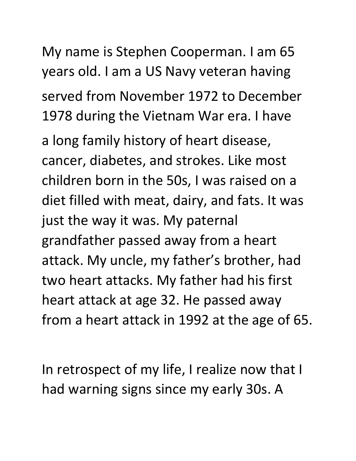My name is Stephen Cooperman. I am 65 years old. I am a US Navy veteran having served from November 1972 to December 1978 during the Vietnam War era. I have

a long family history of heart disease, cancer, diabetes, and strokes. Like most children born in the 50s, I was raised on a diet filled with meat, dairy, and fats. It was just the way it was. My paternal grandfather passed away from a heart attack. My uncle, my father's brother, had two heart attacks. My father had his first heart attack at age 32. He passed away from a heart attack in 1992 at the age of 65.

In retrospect of my life, I realize now that I had warning signs since my early 30s. A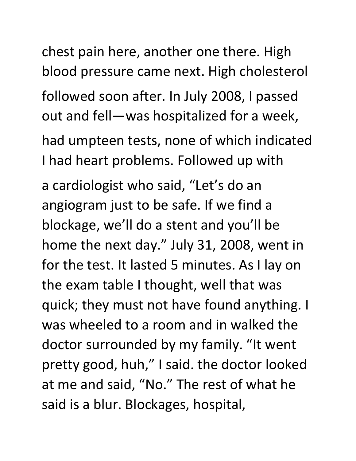chest pain here, another one there. High blood pressure came next. High cholesterol followed soon after. In July 2008, I passed out and fell—was hospitalized for a week, had umpteen tests, none of which indicated I had heart problems. Followed up with a cardiologist who said, "Let's do an angiogram just to be safe. If we find a blockage, we'll do a stent and you'll be home the next day." July 31, 2008, went in for the test. It lasted 5 minutes. As I lay on the exam table I thought, well that was quick; they must not have found anything. I was wheeled to a room and in walked the doctor surrounded by my family. "It went pretty good, huh," I said. the doctor looked at me and said, "No." The rest of what he said is a blur. Blockages, hospital,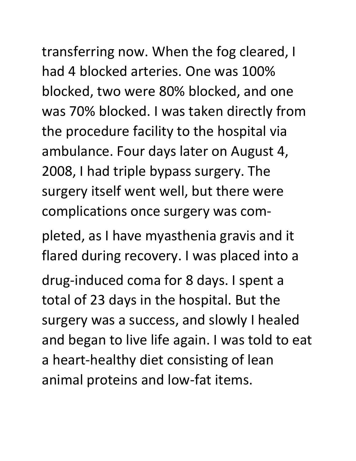transferring now. When the fog cleared, I had 4 blocked arteries. One was 100% blocked, two were 80% blocked, and one was 70% blocked. I was taken directly from the procedure facility to the hospital via ambulance. Four days later on August 4, 2008, I had triple bypass surgery. The surgery itself went well, but there were

complications once surgery was com-

pleted, as I have myasthenia gravis and it flared during recovery. I was placed into a

drug-induced coma for 8 days. I spent a total of 23 days in the hospital. But the surgery was a success, and slowly I healed and began to live life again. I was told to eat a heart-healthy diet consisting of lean animal proteins and low-fat items.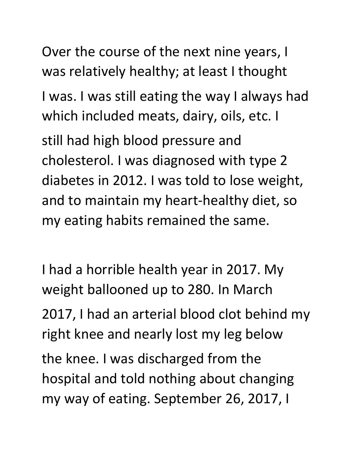Over the course of the next nine years, I was relatively healthy; at least I thought I was. I was still eating the way I always had which included meats, dairy, oils, etc. I still had high blood pressure and cholesterol. I was diagnosed with type 2 diabetes in 2012. I was told to lose weight, and to maintain my heart-healthy diet, so my eating habits remained the same.

I had a horrible health year in 2017. My weight ballooned up to 280. In March 2017, I had an arterial blood clot behind my right knee and nearly lost my leg below the knee. I was discharged from the hospital and told nothing about changing my way of eating. September 26, 2017, I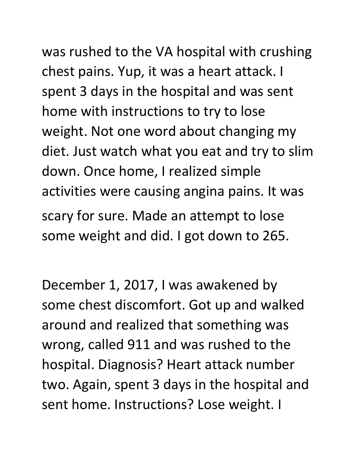## was rushed to the VA hospital with crushing

chest pains. Yup, it was a heart attack. I spent 3 days in the hospital and was sent home with instructions to try to lose weight. Not one word about changing my diet. Just watch what you eat and try to slim down. Once home, I realized simple activities were causing angina pains. It was scary for sure. Made an attempt to lose some weight and did. I got down to 265.

December 1, 2017, I was awakened by some chest discomfort. Got up and walked around and realized that something was wrong, called 911 and was rushed to the hospital. Diagnosis? Heart attack number two. Again, spent 3 days in the hospital and sent home. Instructions? Lose weight. I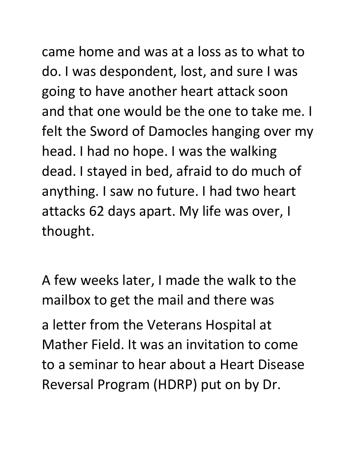came home and was at a loss as to what to do. I was despondent, lost, and sure I was going to have another heart attack soon and that one would be the one to take me. I felt the Sword of Damocles hanging over my head. I had no hope. I was the walking dead. I stayed in bed, afraid to do much of anything. I saw no future. I had two heart attacks 62 days apart. My life was over, I thought.

A few weeks later, I made the walk to the mailbox to get the mail and there was a letter from the Veterans Hospital at Mather Field. It was an invitation to come to a seminar to hear about a Heart Disease Reversal Program (HDRP) put on by Dr.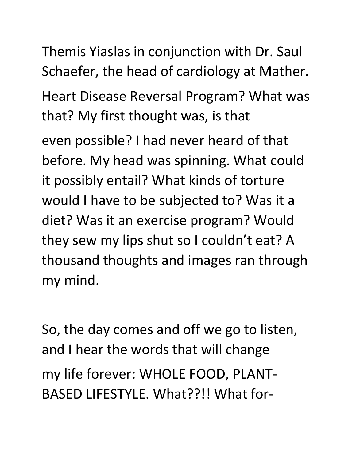Themis Yiaslas in conjunction with Dr. Saul Schaefer, the head of cardiology at Mather. Heart Disease Reversal Program? What was that? My first thought was, is that even possible? I had never heard of that before. My head was spinning. What could

it possibly entail? What kinds of torture would I have to be subjected to? Was it a diet? Was it an exercise program? Would they sew my lips shut so I couldn't eat? A thousand thoughts and images ran through my mind.

So, the day comes and off we go to listen, and I hear the words that will change my life forever: WHOLE FOOD, PLANT-BASED LIFESTYLE. What??!! What for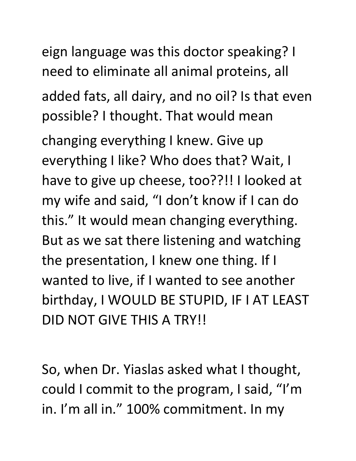eign language was this doctor speaking? I need to eliminate all animal proteins, all added fats, all dairy, and no oil? Is that even possible? I thought. That would mean

changing everything I knew. Give up everything I like? Who does that? Wait, I have to give up cheese, too??!! I looked at my wife and said, "I don't know if I can do this." It would mean changing everything. But as we sat there listening and watching the presentation, I knew one thing. If I wanted to live, if I wanted to see another birthday, I WOULD BE STUPID, IF I AT LEAST DID NOT GIVE THIS A TRY!!

So, when Dr. Yiaslas asked what I thought, could I commit to the program, I said, "I'm in. I'm all in." 100% commitment. In my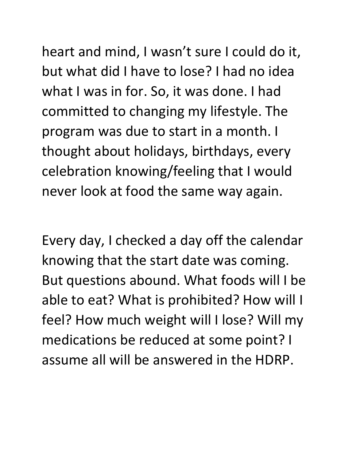heart and mind, I wasn't sure I could do it, but what did I have to lose? I had no idea what I was in for. So, it was done. I had committed to changing my lifestyle. The program was due to start in a month. I thought about holidays, birthdays, every celebration knowing/feeling that I would never look at food the same way again.

Every day, I checked a day off the calendar knowing that the start date was coming. But questions abound. What foods will I be able to eat? What is prohibited? How will I feel? How much weight will I lose? Will my medications be reduced at some point? I assume all will be answered in the HDRP.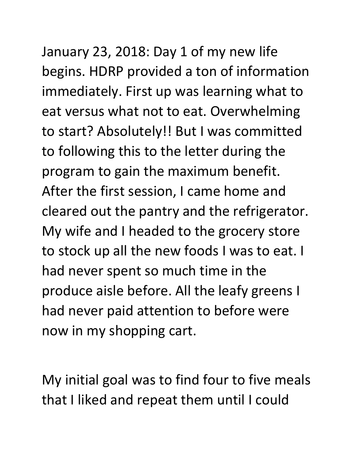January 23, 2018: Day 1 of my new life begins. HDRP provided a ton of information immediately. First up was learning what to eat versus what not to eat. Overwhelming to start? Absolutely!! But I was committed to following this to the letter during the program to gain the maximum benefit. After the first session, I came home and cleared out the pantry and the refrigerator. My wife and I headed to the grocery store to stock up all the new foods I was to eat. I had never spent so much time in the produce aisle before. All the leafy greens I had never paid attention to before were

My initial goal was to find four to five meals that I liked and repeat them until I could

now in my shopping cart.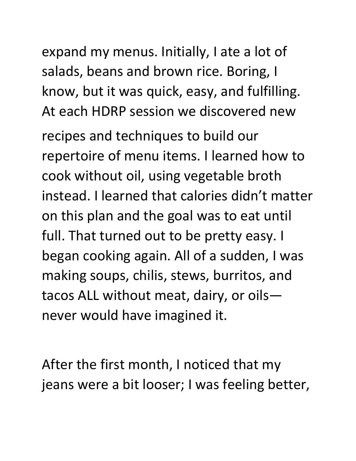expand my menus. Initially, I ate a lot of salads, beans and brown rice. Boring, I know, but it was quick, easy, and fulfilling. At each HDRP session we discovered new

recipes and techniques to build our repertoire of menu items. I learned how to cook without oil, using vegetable broth instead. I learned that calories didn't matter on this plan and the goal was to eat until full. That turned out to be pretty easy. I began cooking again. All of a sudden, I was making soups, chilis, stews, burritos, and tacos ALL without meat, dairy, or oils never would have imagined it.

After the first month, I noticed that my jeans were a bit looser; I was feeling better,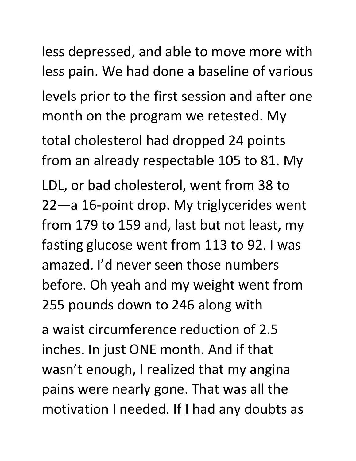less depressed, and able to move more with less pain. We had done a baseline of various levels prior to the first session and after one month on the program we retested. My total cholesterol had dropped 24 points from an already respectable 105 to 81. My LDL, or bad cholesterol, went from 38 to 22—a 16-point drop. My triglycerides went from 179 to 159 and, last but not least, my fasting glucose went from 113 to 92. I was amazed. I'd never seen those numbers before. Oh yeah and my weight went from 255 pounds down to 246 along with a waist circumference reduction of 2.5

inches. In just ONE month. And if that wasn't enough, I realized that my angina pains were nearly gone. That was all the motivation I needed. If I had any doubts as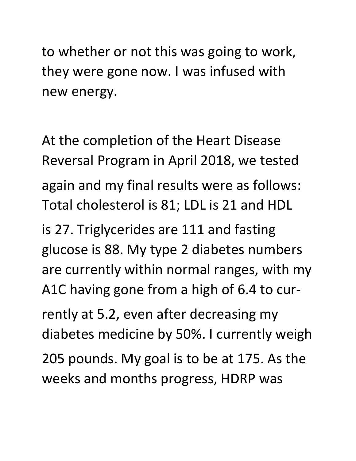to whether or not this was going to work, they were gone now. I was infused with new energy.

At the completion of the Heart Disease Reversal Program in April 2018, we tested again and my final results were as follows: Total cholesterol is 81; LDL is 21 and HDL

is 27. Triglycerides are 111 and fasting glucose is 88. My type 2 diabetes numbers are currently within normal ranges, with my A1C having gone from a high of 6.4 to currently at 5.2, even after decreasing my diabetes medicine by 50%. I currently weigh 205 pounds. My goal is to be at 175. As the weeks and months progress, HDRP was